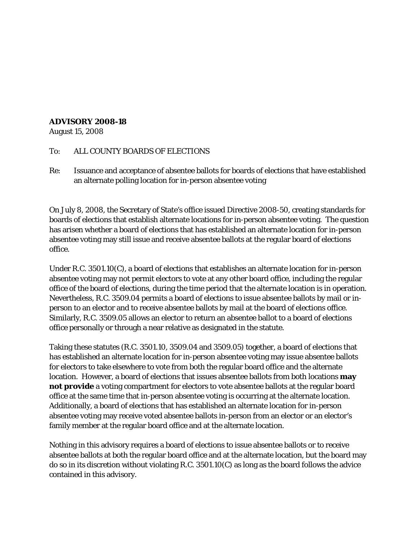## **ADVISORY 2008-18**

August 15, 2008

## To: ALL COUNTY BOARDS OF ELECTIONS

Re: Issuance and acceptance of absentee ballots for boards of elections that have established an alternate polling location for in-person absentee voting

On July 8, 2008, the Secretary of State's office issued Directive 2008-50, creating standards for boards of elections that establish alternate locations for in-person absentee voting. The question has arisen whether a board of elections that has established an alternate location for in-person absentee voting may still issue and receive absentee ballots at the regular board of elections office.

Under R.C. 3501.10(C), a board of elections that establishes an alternate location for in-person absentee voting may not permit electors to vote at any other board office, including the regular office of the board of elections, during the time period that the alternate location is in operation. Nevertheless, R.C. 3509.04 permits a board of elections to issue absentee ballots by mail or inperson to an elector and to receive absentee ballots by mail at the board of elections office. Similarly, R.C. 3509.05 allows an elector to return an absentee ballot to a board of elections office personally or through a near relative as designated in the statute.

Taking these statutes (R.C. 3501.10, 3509.04 and 3509.05) together, a board of elections that has established an alternate location for in-person absentee voting may issue absentee ballots for electors to take elsewhere to vote from both the regular board office and the alternate location. However, a board of elections that issues absentee ballots from both locations **may not provide** a voting compartment for electors to vote absentee ballots at the regular board office at the same time that in-person absentee voting is occurring at the alternate location. Additionally, a board of elections that has established an alternate location for in-person absentee voting may receive voted absentee ballots in-person from an elector or an elector's family member at the regular board office and at the alternate location.

Nothing in this advisory requires a board of elections to issue absentee ballots or to receive absentee ballots at both the regular board office and at the alternate location, but the board may do so in its discretion without violating R.C. 3501.10(C) as long as the board follows the advice contained in this advisory.